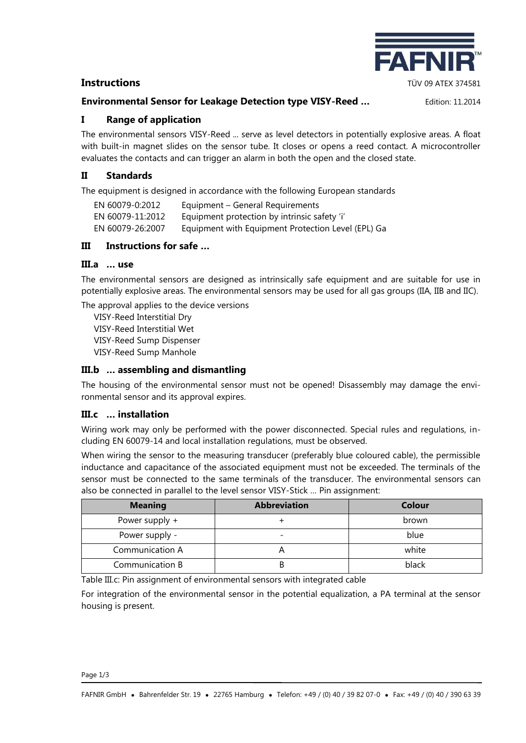# **Instructions** TÜV 09 ATEX 374581

## **Environmental Sensor for Leakage Detection type VISY-Reed …** Edition: 11.2014

**EAFN** 

## **I Range of application**

The environmental sensors VISY-Reed ... serve as level detectors in potentially explosive areas. A float with built-in magnet slides on the sensor tube. It closes or opens a reed contact. A microcontroller evaluates the contacts and can trigger an alarm in both the open and the closed state.

## **II Standards**

The equipment is designed in accordance with the following European standards

| EN 60079-0:2012  | Equipment - General Requirements                   |
|------------------|----------------------------------------------------|
| EN 60079-11:2012 | Equipment protection by intrinsic safety 'i'       |
| EN 60079-26:2007 | Equipment with Equipment Protection Level (EPL) Ga |

# **III Instructions for safe …**

#### **III.a … use**

The environmental sensors are designed as intrinsically safe equipment and are suitable for use in potentially explosive areas. The environmental sensors may be used for all gas groups (IIA, IIB and IIC).

The approval applies to the device versions

VISY-Reed Interstitial Dry VISY-Reed Interstitial Wet VISY-Reed Sump Dispenser VISY-Reed Sump Manhole

# **III.b … assembling and dismantling**

The housing of the environmental sensor must not be opened! Disassembly may damage the environmental sensor and its approval expires.

## **III.c … installation**

Wiring work may only be performed with the power disconnected. Special rules and regulations, including EN 60079-14 and local installation regulations, must be observed.

When wiring the sensor to the measuring transducer (preferably blue coloured cable), the permissible inductance and capacitance of the associated equipment must not be exceeded. The terminals of the sensor must be connected to the same terminals of the transducer. The environmental sensors can also be connected in parallel to the level sensor VISY-Stick … Pin assignment:

| <b>Meaning</b>  | <b>Abbreviation</b>      | Colour |
|-----------------|--------------------------|--------|
| Power supply +  |                          | brown  |
| Power supply -  | $\overline{\phantom{0}}$ | blue   |
| Communication A |                          | white  |
| Communication B |                          | black  |

Table III.c: Pin assignment of environmental sensors with integrated cable

For integration of the environmental sensor in the potential equalization, a PA terminal at the sensor housing is present.

Page 1/3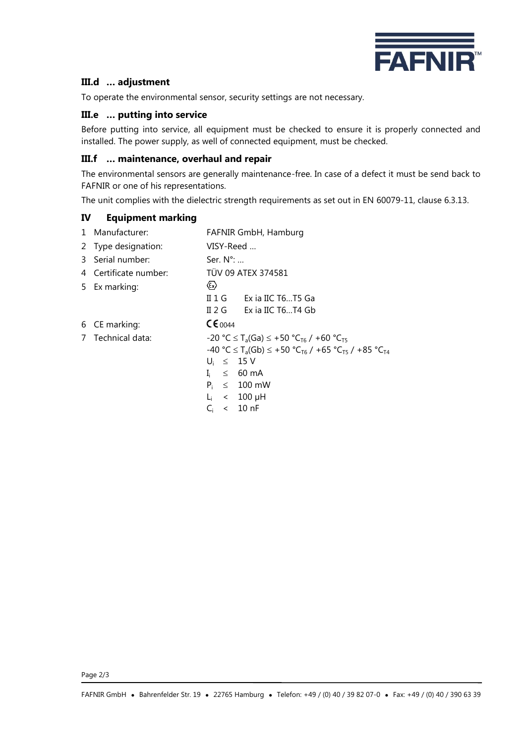

## **III.d … adjustment**

To operate the environmental sensor, security settings are not necessary.

#### **III.e … putting into service**

Before putting into service, all equipment must be checked to ensure it is properly connected and installed. The power supply, as well of connected equipment, must be checked.

#### **III.f … maintenance, overhaul and repair**

The environmental sensors are generally maintenance-free. In case of a defect it must be send back to FAFNIR or one of his representations.

The unit complies with the dielectric strength requirements as set out in EN 60079-11, clause 6.3.13.

#### **IV Equipment marking**

| 1 Manufacturer:       |                                    | FAFNIR GmbH, Hamburg                                                                                          |
|-----------------------|------------------------------------|---------------------------------------------------------------------------------------------------------------|
| 2 Type designation:   | VISY-Reed                          |                                                                                                               |
| 3 Serial number:      | Ser. $N^{\circ}$ :                 |                                                                                                               |
| 4 Certificate number: |                                    | <b>TÜV 09 ATEX 374581</b>                                                                                     |
| 5 Ex marking:         | $\langle \epsilon_{\rm x} \rangle$ |                                                                                                               |
|                       |                                    | II $1 \text{ G}$ Exia IIC T6T5 Ga                                                                             |
|                       |                                    | II 2 G Exia IIC T6T4 Gb                                                                                       |
| 6 CE marking:         | C60044                             |                                                                                                               |
| 7 Technical data:     |                                    | $-20$ °C $\leq$ T <sub>a</sub> (Ga) $\leq$ +50 °C <sub>T6</sub> / +60 °C <sub>T5</sub>                        |
|                       |                                    | $-40$ °C $\leq$ T <sub>a</sub> (Gb) $\leq$ +50 °C <sub>T6</sub> / +65 °C <sub>T5</sub> / +85 °C <sub>T4</sub> |
|                       | $U_i \leq 15V$                     |                                                                                                               |
|                       | Ŀ.                                 | $\leq$ 60 mA                                                                                                  |
|                       |                                    | $P_i \leq 100$ mW                                                                                             |
|                       | L,                                 | $\langle 100 \mu H$                                                                                           |

 $C_i$  < 10 nF